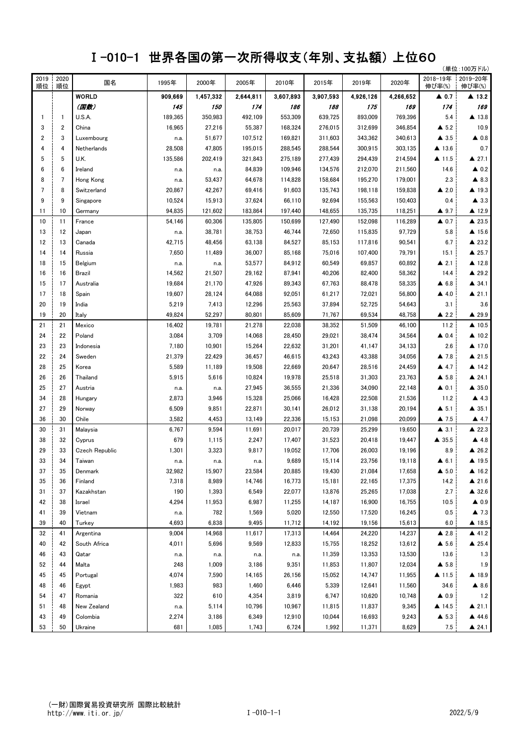## Ⅰ-010-1 世界各国の第一次所得収支(年別、支払額) 上位60

|      |                 | $1 - 010 - 1$  | <b>ビ介甘国ツ乐</b> |           |           |           | 火川1守サメ乂 \艹川、乂仏徴ノ エ≌0∪ |           |           |                      |                         |
|------|-----------------|----------------|---------------|-----------|-----------|-----------|-----------------------|-----------|-----------|----------------------|-------------------------|
| 2019 | 2020            |                |               |           |           |           |                       |           |           | 2018-19年             | (単位:100万ドル)<br>2019-20年 |
| 順位   | 順位              | 国名             | 1995年         | 2000年     | 2005年     | 2010年     | 2015年                 | 2019年     | 2020年     | 伸び率(%)               | 伸び率(%)                  |
|      |                 | <b>WORLD</b>   | 909,669       | 1,457,332 | 2,644,811 | 3,607,893 | 3,907,593             | 4,926,126 | 4,266,652 | $\blacktriangle$ 0.7 | $\blacktriangle$ 13.2   |
|      |                 | (国数)           | 145           | 150       | 174       | 186       | 188                   | 175       | 169       | 174                  | 169                     |
| 1    | $\mathbf{1}$    | U.S.A.         | 189,365       | 350,983   | 492,109   | 553,309   | 639,725               | 893,009   | 769,396   | 5.4                  | $\blacktriangle$ 13.8   |
| 3    | 2               | China          | 16,965        | 27,216    | 55,387    | 168,324   | 276,015               | 312,699   | 346,854   | $\triangle$ 5.2      | 10.9                    |
| 2    | 3               | Luxembourg     | n.a.          | 51,677    | 107,512   | 169,821   | 311,603               | 343,362   | 340,613   | $\triangle$ 3.5      | $\triangle$ 0.8         |
| 4    | 4               | Netherlands    | 28,508        | 47,805    | 195,015   | 288,545   | 288,544               | 300,915   | 303,135   | $\triangle$ 13.6     | 0.7                     |
| 5    | 5               | U.K.           | 135,586       | 202,419   | 321,843   | 275,189   | 277,439               | 294,439   | 214,594   | $\triangle$ 11.5     | $\triangle$ 27.1        |
| 6    | $6\phantom{1}6$ | Ireland        | n.a.          | n.a.      | 84,839    | 109,946   | 134,576               | 212,070   | 211,560   | 14.6                 | $\triangle$ 0.2         |
| 8    | $\overline{7}$  | Hong Kong      | n.a.          | 53,437    | 64,678    | 114,828   | 158,684               | 195,270   | 179,001   | 2.3                  | $\blacktriangle$ 8.3    |
| 7    | 8               | Switzerland    | 20,867        | 42,267    | 69,416    | 91,603    | 135,743               | 198,118   | 159,838   | $\triangle$ 2.0      | $\triangle$ 19.3        |
| 9    | 9               | Singapore      | 10,524        | 15,913    | 37,624    | 66,110    | 92,694                | 155,563   | 150,403   | 0.4                  | $\blacktriangle$ 3.3    |
| 11   | 10              | Germany        | 94,835        | 121,602   | 183,864   | 197,440   | 148,655               | 135,735   | 118,251   | $\triangle$ 9.7      | ▲ 12.9                  |
| 10   | 11              | France         | 54,146        | 60,306    | 135,805   | 150,699   | 127,490               | 152,098   | 116,289   | $\triangle$ 0.7      | ▲ 23.5                  |
| 13   | 12              | Japan          | n.a.          | 38,781    | 38,753    | 46,744    | 72,650                | 115,835   | 97,729    | 5.8                  | $\triangle$ 15.6        |
| 12   | 13              | Canada         | 42,715        | 48,456    | 63,138    | 84,527    | 85,153                | 117,816   | 90,541    | 6.7                  | $\triangle$ 23.2        |
| 14   | 14              | Russia         | 7,650         | 11,489    | 36,007    | 85,168    | 75,016                | 107,400   | 79,791    | 15.1                 | $\triangle$ 25.7        |
| 18   | 15              | Belgium        | n.a.          | n.a.      | 53,577    | 84,912    | 60,549                | 69,857    | 60,892    | $\triangle$ 2.1      | ▲ 12.8                  |
| 16   | 16              | Brazil         | 14,562        | 21,507    | 29,162    | 87,941    | 40,206                | 82,400    | 58,362    | 14.4                 | ▲ 29.2                  |
| 15   | 17              | Australia      | 19,684        | 21,170    | 47,926    | 89,343    | 67,763                | 88,478    | 58,335    | $\triangle$ 6.8      | $\triangle$ 34.1        |
| 17   | 18              | Spain          | 19,607        | 28,124    | 64,088    | 92,051    | 61,217                | 72,021    | 56,800    | $\triangle$ 4.0      | $\triangle$ 21.1        |
| 20   | 19              | India          | 5,219         | 7,413     | 12,296    | 25,563    | 37,894                | 52,725    | 54,643    | 3.1                  | 3.6                     |
| 19   | 20              | Italy          | 49,824        | 52,297    | 80,801    | 85,609    | 71,767                | 69,534    | 48,758    | $\triangle$ 2.2      | ▲ 29.9                  |
| 21   | 21              | Mexico         | 16,402        | 19,781    | 21,278    | 22,038    | 38,352                | 51,509    | 46,100    | 11.2                 | $\triangle$ 10.5        |
| 24   | 22              | Poland         | 3,084         | 3,709     | 14,068    | 28,450    | 29,021                | 38,474    | 34,564    | $\triangle$ 0.4      | $\triangle$ 10.2        |
| 23   | 23              | Indonesia      | 7,180         | 10,901    | 15,264    | 22,632    | 31,201                | 41,147    | 34,133    | 2.6                  | $\triangle$ 17.0        |
| 22   | 24              | Sweden         | 21,379        | 22,429    | 36,457    | 46,615    | 43,243                | 43,388    | 34,056    | $\triangle$ 7.8      | ▲ 21.5                  |
| 28   | 25              | Korea          | 5,589         | 11,189    | 19,508    | 22,669    | 20,647                | 28,516    | 24,459    | 4.7                  | $\triangle$ 14.2        |
| 26   | 26              | Thailand       | 5,915         | 5,616     | 10,824    | 19,978    | 25,518                | 31,303    | 23,763    | $\triangle$ 5.8      | $\triangle$ 24.1        |
| 25   | 27              | Austria        | n.a.          | n.a.      | 27,945    | 36,555    | 21,336                | 34,090    | 22,148    | $\triangle$ 0.1      | $\triangle$ 35.0        |
| 34   | 28              | Hungary        | 2,873         | 3,946     | 15,328    | 25,066    | 16,428                | 22,508    | 21,536    | 11.2                 | $\triangle$ 4.3         |
| 27   | 29              | Norway         | 6,509         | 9,851     | 22,871    | 30,141    | 26,012                | 31,138    | 20,194    | $\triangle$ 5.1      | $\triangle$ 35.1        |
| 36   | 30              | Chile          | 3,582         | 4,453     | 13,149    | 22,336    | 15,153                | 21,098    | 20,099    | $\blacktriangle$ 7.5 | $\blacktriangle$ 4.7    |
| 30   | 31              | Malaysia       | 6,767         | 9,594     | 11,691    | 20,017    | 20,739                | 25,299    | 19,650    | $\blacktriangle$ 3.1 | ▲ 22.3                  |
| 38   | 32              | Cyprus         | 679           | 1,115     | 2,247     | 17,407    | 31,523                | 20,418    | 19,447    | ▲ 35.5               | 4.8                     |
| 29   | 33              | Czech Republic | 1,301         | 3,323     | 9,817     | 19,052    | 17,706                | 26,003    | 19,196    | 8.9                  | $\triangle$ 26.2        |
| 33   | 34              | Taiwan         | n.a.          | n.a.      | n.a.      | 9,689     | 15,114                | 23,756    | 19,118    | $\triangle$ 6.1      | $\blacktriangle$ 19.5   |
| 37   | 35              | Denmark        | 32,982        | 15,907    | 23,584    | 20,885    | 19,430                | 21,084    | 17,658    | $\blacktriangle$ 5.0 | $\blacktriangle$ 16.2   |
| 35   | 36              | Finland        | 7,318         | 8,989     | 14,746    | 16,773    | 15,181                | 22,165    | 17,375    | 14.2                 | $\triangle$ 21.6        |
| 31   | 37              | Kazakhstan     | 190           | 1,393     | 6,549     | 22,077    | 13,876                | 25,265    | 17,038    | 2.7                  | $\triangle$ 32.6        |
| 42   | 38              | Israel         | 4,294         | 11,953    | 6,987     | 11,255    | 14,187                | 16,900    | 16,755    | 10.5                 | $\triangle$ 0.9         |
| 41   | 39              | Vietnam        | n.a.          | 782       | 1,569     | 5,020     | 12,550                | 17,520    | 16,245    | 0.5                  | $\blacktriangle$ 7.3    |
| 39   | 40              | Turkey         | 4,693         | 6,838     | 9,495     | 11,712    | 14,192                | 19,156    | 15,613    | $6.0\,$              | $\blacktriangle$ 18.5   |
| 32   | 41              | Argentina      | 9,004         | 14,968    | 11,617    | 17,313    | 14,464                | 24,220    | 14,237    | $\triangle$ 2.8      | 41.2                    |
| 40   | 42              | South Africa   | 4,011         | 5,696     | 9,569     | 12,833    | 15,755                | 18,252    | 13,612    | $\blacktriangle$ 5.6 | $\triangle$ 25.4        |
| 46   | 43              | Qatar          | n.a.          | n.a.      | n.a.      | n.a.      | 11,359                | 13,353    | 13,530    | 13.6                 | 1.3                     |
| 52   | 44              | Malta          | 248           | 1,009     | 3,186     | 9,351     | 11,853                | 11,807    | 12,034    | $\triangle$ 5.8      | 1.9                     |
| 45   | 45              | Portugal       | 4,074         | 7,590     | 14,165    | 26,156    | 15,052                | 14,747    | 11,955    | $\triangle$ 11.5     | ▲ 18.9                  |
| 48   | 46              | Egypt          | 1,983         | 983       | 1,460     | 6,446     | 5,339                 | 12,641    | 11,560    | 34.6                 | $\blacktriangle$ 8.6    |
| 54   | 47              | Romania        | 322           | 610       | 4,354     | 3,819     | 6,747                 | 10,620    | 10,748    | $\triangle$ 0.9      | $1.2$                   |
| 51   | 48              | New Zealand    | n.a.          | 5,114     | 10,796    | 10,967    | 11,815                | 11,837    | 9,345     | ▲ 14.5               | $\triangle$ 21.1        |
| 43   | 49              | Colombia       | 2,274         | 3,186     | 6,349     | 12,910    | 10,044                | 16,693    | 9,243     | $\blacktriangle$ 5.3 | 44.6                    |
| 53   | 50              | Ukraine        | 681           | 1,085     | 1,743     | 6,724     | 1,992                 | 11,371    | 8,629     | 7.5                  | $\triangle$ 24.1        |